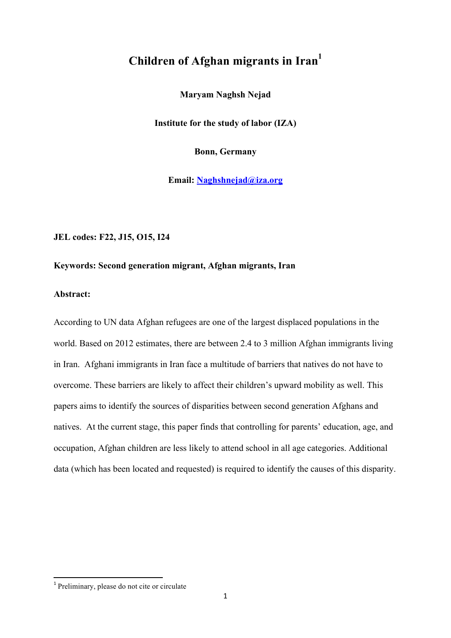# **Children of Afghan migrants in Iran1**

**Maryam Naghsh Nejad**

**Institute for the study of labor (IZA)**

**Bonn, Germany**

**Email: Naghshnejad@iza.org**

**JEL codes: F22, J15, O15, I24**

## **Keywords: Second generation migrant, Afghan migrants, Iran**

**Abstract:**

According to UN data Afghan refugees are one of the largest displaced populations in the world. Based on 2012 estimates, there are between 2.4 to 3 million Afghan immigrants living in Iran. Afghani immigrants in Iran face a multitude of barriers that natives do not have to overcome. These barriers are likely to affect their children's upward mobility as well. This papers aims to identify the sources of disparities between second generation Afghans and natives. At the current stage, this paper finds that controlling for parents' education, age, and occupation, Afghan children are less likely to attend school in all age categories. Additional data (which has been located and requested) is required to identify the causes of this disparity.

<sup>1</sup> Preliminary, please do not cite or circulate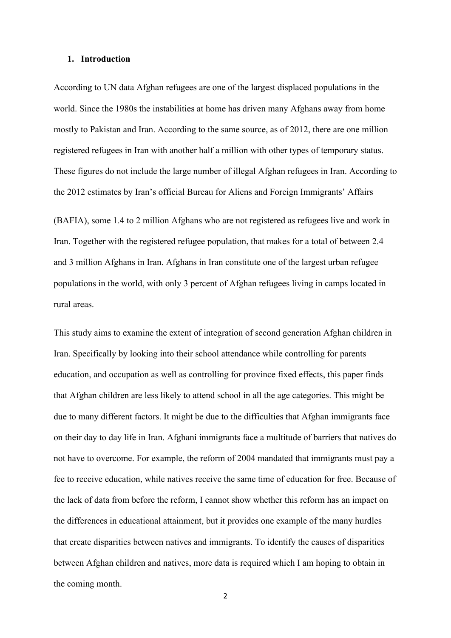## **1. Introduction**

According to UN data Afghan refugees are one of the largest displaced populations in the world. Since the 1980s the instabilities at home has driven many Afghans away from home mostly to Pakistan and Iran. According to the same source, as of 2012, there are one million registered refugees in Iran with another half a million with other types of temporary status. These figures do not include the large number of illegal Afghan refugees in Iran. According to the 2012 estimates by Iran's official Bureau for Aliens and Foreign Immigrants' Affairs

(BAFIA), some 1.4 to 2 million Afghans who are not registered as refugees live and work in Iran. Together with the registered refugee population, that makes for a total of between 2.4 and 3 million Afghans in Iran. Afghans in Iran constitute one of the largest urban refugee populations in the world, with only 3 percent of Afghan refugees living in camps located in rural areas.

This study aims to examine the extent of integration of second generation Afghan children in Iran. Specifically by looking into their school attendance while controlling for parents education, and occupation as well as controlling for province fixed effects, this paper finds that Afghan children are less likely to attend school in all the age categories. This might be due to many different factors. It might be due to the difficulties that Afghan immigrants face on their day to day life in Iran. Afghani immigrants face a multitude of barriers that natives do not have to overcome. For example, the reform of 2004 mandated that immigrants must pay a fee to receive education, while natives receive the same time of education for free. Because of the lack of data from before the reform, I cannot show whether this reform has an impact on the differences in educational attainment, but it provides one example of the many hurdles that create disparities between natives and immigrants. To identify the causes of disparities between Afghan children and natives, more data is required which I am hoping to obtain in the coming month.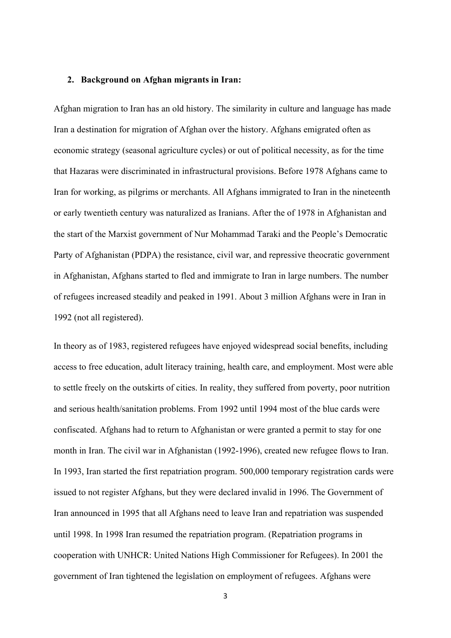## **2. Background on Afghan migrants in Iran:**

Afghan migration to Iran has an old history. The similarity in culture and language has made Iran a destination for migration of Afghan over the history. Afghans emigrated often as economic strategy (seasonal agriculture cycles) or out of political necessity, as for the time that Hazaras were discriminated in infrastructural provisions. Before 1978 Afghans came to Iran for working, as pilgrims or merchants. All Afghans immigrated to Iran in the nineteenth or early twentieth century was naturalized as Iranians. After the of 1978 in Afghanistan and the start of the Marxist government of Nur Mohammad Taraki and the People's Democratic Party of Afghanistan (PDPA) the resistance, civil war, and repressive theocratic government in Afghanistan, Afghans started to fled and immigrate to Iran in large numbers. The number of refugees increased steadily and peaked in 1991. About 3 million Afghans were in Iran in 1992 (not all registered).

In theory as of 1983, registered refugees have enjoyed widespread social benefits, including access to free education, adult literacy training, health care, and employment. Most were able to settle freely on the outskirts of cities. In reality, they suffered from poverty, poor nutrition and serious health/sanitation problems. From 1992 until 1994 most of the blue cards were confiscated. Afghans had to return to Afghanistan or were granted a permit to stay for one month in Iran. The civil war in Afghanistan (1992-1996), created new refugee flows to Iran. In 1993, Iran started the first repatriation program. 500,000 temporary registration cards were issued to not register Afghans, but they were declared invalid in 1996. The Government of Iran announced in 1995 that all Afghans need to leave Iran and repatriation was suspended until 1998. In 1998 Iran resumed the repatriation program. (Repatriation programs in cooperation with UNHCR: United Nations High Commissioner for Refugees). In 2001 the government of Iran tightened the legislation on employment of refugees. Afghans were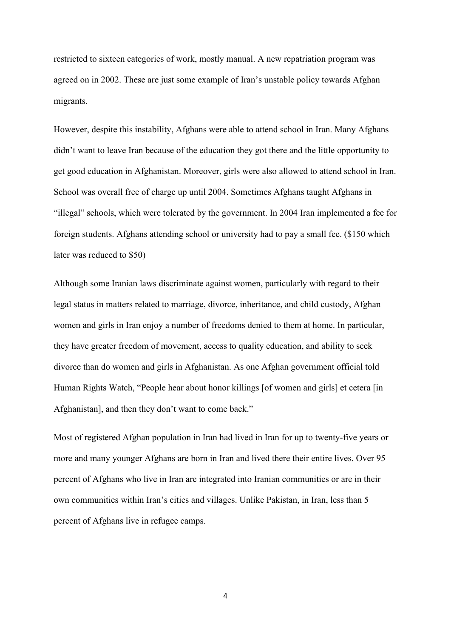restricted to sixteen categories of work, mostly manual. A new repatriation program was agreed on in 2002. These are just some example of Iran's unstable policy towards Afghan migrants.

However, despite this instability, Afghans were able to attend school in Iran. Many Afghans didn't want to leave Iran because of the education they got there and the little opportunity to get good education in Afghanistan. Moreover, girls were also allowed to attend school in Iran. School was overall free of charge up until 2004. Sometimes Afghans taught Afghans in "illegal" schools, which were tolerated by the government. In 2004 Iran implemented a fee for foreign students. Afghans attending school or university had to pay a small fee. (\$150 which later was reduced to \$50)

Although some Iranian laws discriminate against women, particularly with regard to their legal status in matters related to marriage, divorce, inheritance, and child custody, Afghan women and girls in Iran enjoy a number of freedoms denied to them at home. In particular, they have greater freedom of movement, access to quality education, and ability to seek divorce than do women and girls in Afghanistan. As one Afghan government official told Human Rights Watch, "People hear about honor killings [of women and girls] et cetera [in Afghanistan], and then they don't want to come back."

Most of registered Afghan population in Iran had lived in Iran for up to twenty-five years or more and many younger Afghans are born in Iran and lived there their entire lives. Over 95 percent of Afghans who live in Iran are integrated into Iranian communities or are in their own communities within Iran's cities and villages. Unlike Pakistan, in Iran, less than 5 percent of Afghans live in refugee camps.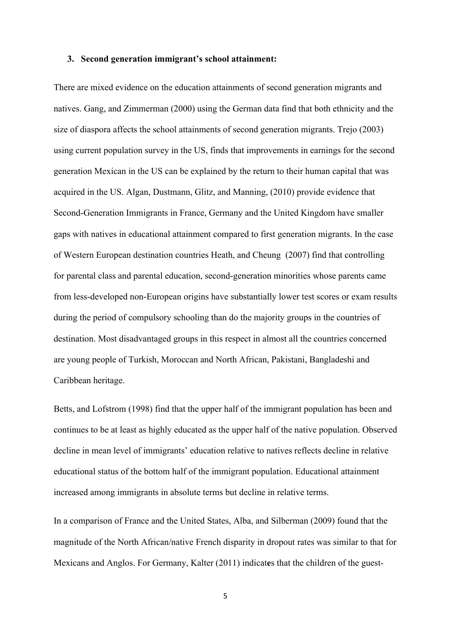## **3. Second generation immigrant's school attainment:**

There are mixed evidence on the education attainments of second generation migrants and natives. Gang, and Zimmerman (2000) using the German data find that both ethnicity and the size of diaspora affects the school attainments of second generation migrants. Trejo (2003) using current population survey in the US, finds that improvements in earnings for the second generation Mexican in the US can be explained by the return to their human capital that was acquired in the US. Algan, Dustmann, Glitz, and Manning, (2010) provide evidence that Second-Generation Immigrants in France, Germany and the United Kingdom have smaller gaps with natives in educational attainment compared to first generation migrants. In the case of Western European destination countries Heath, and Cheung (2007) find that controlling for parental class and parental education, second-generation minorities whose parents came from less-developed non-European origins have substantially lower test scores or exam results during the period of compulsory schooling than do the majority groups in the countries of destination. Most disadvantaged groups in this respect in almost all the countries concerned are young people of Turkish, Moroccan and North African, Pakistani, Bangladeshi and Caribbean heritage.

Betts, and Lofstrom (1998) find that the upper half of the immigrant population has been and continues to be at least as highly educated as the upper half of the native population. Observed decline in mean level of immigrants' education relative to natives reflects decline in relative educational status of the bottom half of the immigrant population. Educational attainment increased among immigrants in absolute terms but decline in relative terms.

In a comparison of France and the United States, Alba, and Silberman (2009) found that the magnitude of the North African/native French disparity in dropout rates was similar to that for Mexicans and Anglos. For Germany, Kalter (2011) indicat**e**s that the children of the guest-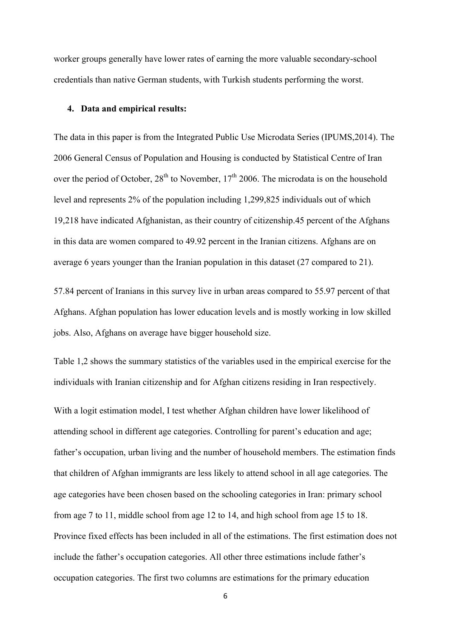worker groups generally have lower rates of earning the more valuable secondary-school credentials than native German students, with Turkish students performing the worst.

## **4. Data and empirical results:**

The data in this paper is from the Integrated Public Use Microdata Series (IPUMS,2014). The 2006 General Census of Population and Housing is conducted by Statistical Centre of Iran over the period of October,  $28<sup>th</sup>$  to November,  $17<sup>th</sup>$  2006. The microdata is on the household level and represents 2% of the population including 1,299,825 individuals out of which 19,218 have indicated Afghanistan, as their country of citizenship.45 percent of the Afghans in this data are women compared to 49.92 percent in the Iranian citizens. Afghans are on average 6 years younger than the Iranian population in this dataset (27 compared to 21).

57.84 percent of Iranians in this survey live in urban areas compared to 55.97 percent of that Afghans. Afghan population has lower education levels and is mostly working in low skilled jobs. Also, Afghans on average have bigger household size.

Table 1,2 shows the summary statistics of the variables used in the empirical exercise for the individuals with Iranian citizenship and for Afghan citizens residing in Iran respectively.

With a logit estimation model, I test whether Afghan children have lower likelihood of attending school in different age categories. Controlling for parent's education and age; father's occupation, urban living and the number of household members. The estimation finds that children of Afghan immigrants are less likely to attend school in all age categories. The age categories have been chosen based on the schooling categories in Iran: primary school from age 7 to 11, middle school from age 12 to 14, and high school from age 15 to 18. Province fixed effects has been included in all of the estimations. The first estimation does not include the father's occupation categories. All other three estimations include father's occupation categories. The first two columns are estimations for the primary education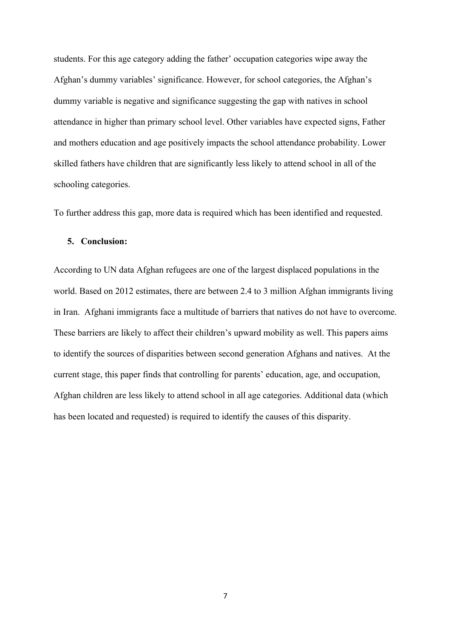students. For this age category adding the father' occupation categories wipe away the Afghan's dummy variables' significance. However, for school categories, the Afghan's dummy variable is negative and significance suggesting the gap with natives in school attendance in higher than primary school level. Other variables have expected signs, Father and mothers education and age positively impacts the school attendance probability. Lower skilled fathers have children that are significantly less likely to attend school in all of the schooling categories.

To further address this gap, more data is required which has been identified and requested.

## **5. Conclusion:**

According to UN data Afghan refugees are one of the largest displaced populations in the world. Based on 2012 estimates, there are between 2.4 to 3 million Afghan immigrants living in Iran. Afghani immigrants face a multitude of barriers that natives do not have to overcome. These barriers are likely to affect their children's upward mobility as well. This papers aims to identify the sources of disparities between second generation Afghans and natives. At the current stage, this paper finds that controlling for parents' education, age, and occupation, Afghan children are less likely to attend school in all age categories. Additional data (which has been located and requested) is required to identify the causes of this disparity.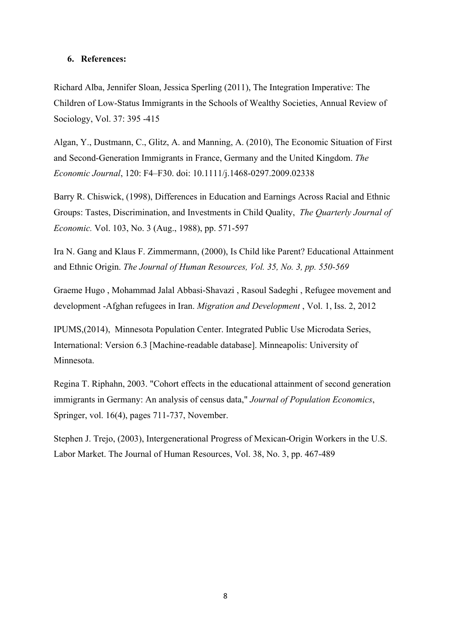## **6. References:**

Richard Alba, Jennifer Sloan, Jessica Sperling (2011), The Integration Imperative: The Children of Low-Status Immigrants in the Schools of Wealthy Societies, Annual Review of Sociology, Vol. 37: 395 -415

Algan, Y., Dustmann, C., Glitz, A. and Manning, A. (2010), The Economic Situation of First and Second-Generation Immigrants in France, Germany and the United Kingdom. *The Economic Journal*, 120: F4–F30. doi: 10.1111/j.1468-0297.2009.02338

Barry R. Chiswick, (1998), Differences in Education and Earnings Across Racial and Ethnic Groups: Tastes, Discrimination, and Investments in Child Quality, *The Quarterly Journal of Economic.* Vol. 103, No. 3 (Aug., 1988), pp. 571-597

Ira N. Gang and Klaus F. Zimmermann, (2000), Is Child like Parent? Educational Attainment and Ethnic Origin. *The Journal of Human Resources, Vol. 35, No. 3, pp. 550-569*

Graeme Hugo , Mohammad Jalal Abbasi-Shavazi , Rasoul Sadeghi , Refugee movement and development -Afghan refugees in Iran. *Migration and Development* , Vol. 1, Iss. 2, 2012

IPUMS,(2014), Minnesota Population Center. Integrated Public Use Microdata Series, International: Version 6.3 [Machine-readable database]. Minneapolis: University of Minnesota.

Regina T. Riphahn, 2003. "Cohort effects in the educational attainment of second generation immigrants in Germany: An analysis of census data," *Journal of Population Economics*, Springer, vol. 16(4), pages 711-737, November.

Stephen J. Trejo, (2003), Intergenerational Progress of Mexican-Origin Workers in the U.S. Labor Market. The Journal of Human Resources, Vol. 38, No. 3, pp. 467-489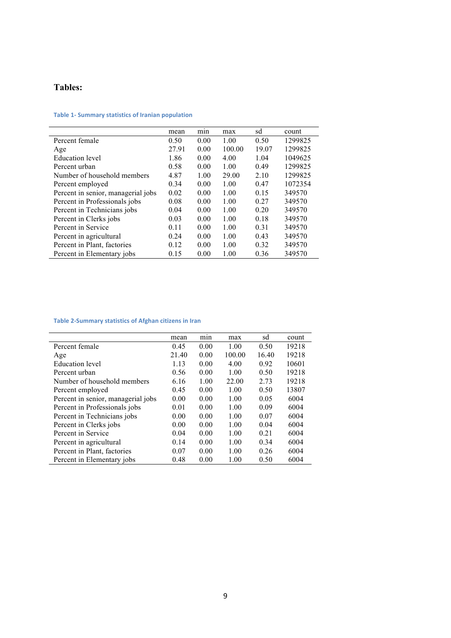## **Tables:**

## **Table 1- Summary statistics of Iranian population**

|                                    | mean  | min  | max    | sd    | count   |
|------------------------------------|-------|------|--------|-------|---------|
| Percent female                     | 0.50  | 0.00 | 1.00   | 0.50  | 1299825 |
| Age                                | 27.91 | 0.00 | 100.00 | 19.07 | 1299825 |
| Education level                    | 1.86  | 0.00 | 4.00   | 1.04  | 1049625 |
| Percent urban                      | 0.58  | 0.00 | 1.00   | 0.49  | 1299825 |
| Number of household members        | 4.87  | 1.00 | 29.00  | 2.10  | 1299825 |
| Percent employed                   | 0.34  | 0.00 | 1.00   | 0.47  | 1072354 |
| Percent in senior, managerial jobs | 0.02  | 0.00 | 1.00   | 0.15  | 349570  |
| Percent in Professionals jobs      | 0.08  | 0.00 | 1.00   | 0.27  | 349570  |
| Percent in Technicians jobs        | 0.04  | 0.00 | 1.00   | 0.20  | 349570  |
| Percent in Clerks jobs             | 0.03  | 0.00 | 1.00   | 0.18  | 349570  |
| Percent in Service                 | 0.11  | 0.00 | 1.00   | 0.31  | 349570  |
| Percent in agricultural            | 0.24  | 0.00 | 1.00   | 0.43  | 349570  |
| Percent in Plant, factories        | 0.12  | 0.00 | 1.00   | 0.32  | 349570  |
| Percent in Elementary jobs         | 0.15  | 0.00 | 1.00   | 0.36  | 349570  |

## **Table 2-Summary statistics of Afghan citizens in Iran**

|                                    | mean  | min  | max    | sd    | count |
|------------------------------------|-------|------|--------|-------|-------|
| Percent female                     | 0.45  | 0.00 | 1.00   | 0.50  | 19218 |
| Age                                | 21.40 | 0.00 | 100.00 | 16.40 | 19218 |
| <b>Education</b> level             | 1.13  | 0.00 | 4.00   | 0.92  | 10601 |
| Percent urban                      | 0.56  | 0.00 | 1.00   | 0.50  | 19218 |
| Number of household members        | 6.16  | 1.00 | 22.00  | 2.73  | 19218 |
| Percent employed                   | 0.45  | 0.00 | 1.00   | 0.50  | 13807 |
| Percent in senior, managerial jobs | 0.00  | 0.00 | 1.00   | 0.05  | 6004  |
| Percent in Professionals jobs      | 0.01  | 0.00 | 1.00   | 0.09  | 6004  |
| Percent in Technicians jobs        | 0.00  | 0.00 | 1.00   | 0.07  | 6004  |
| Percent in Clerks jobs             | 0.00  | 0.00 | 1.00   | 0.04  | 6004  |
| Percent in Service                 | 0.04  | 0.00 | 1.00   | 0.21  | 6004  |
| Percent in agricultural            | 0.14  | 0.00 | 1.00   | 0.34  | 6004  |
| Percent in Plant, factories        | 0.07  | 0.00 | 1.00   | 0.26  | 6004  |
| Percent in Elementary jobs         | 0.48  | 0.00 | 1.00   | 0.50  | 6004  |